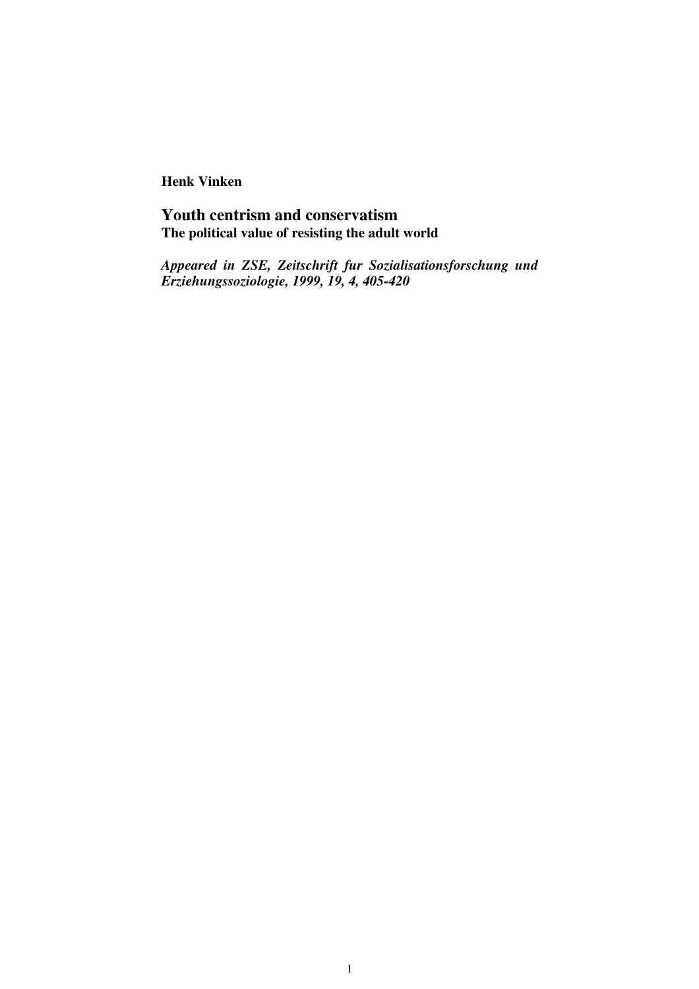**Henk Vinken**

# **Youth centrism and conservatism The political value of resisting the adult world**

*Appeared in ZSE, Zeitschrift fur Sozialisationsforschung und Erziehungssoziologie, 1999, 19, 4, 405-420*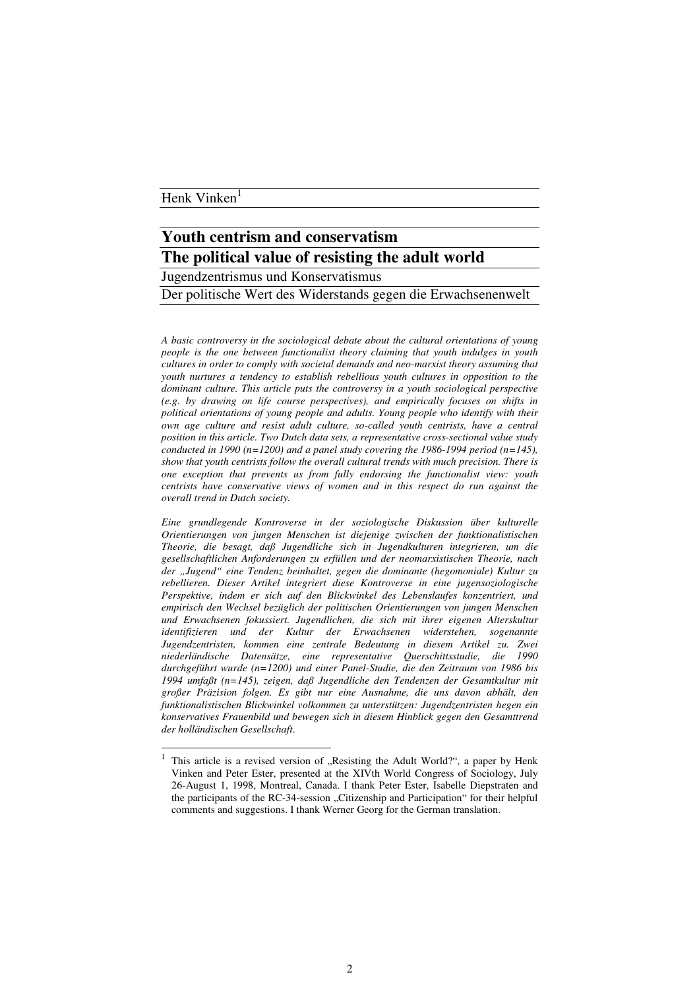## Henk Vinken<sup>1</sup>

## **Youth centrism and conservatism The political value of resisting the adult world**

Jugendzentrismus und Konservatismus

Der politische Wert des Widerstands gegen die Erwachsenenwelt

*A basic controversy in the sociological debate about the cultural orientations of young people is the one between functionalist theory claiming that youth indulges in youth cultures in order to comply with societal demands and neo-marxist theory assuming that youth nurtures a tendency to establish rebellious youth cultures in opposition to the dominant culture. This article puts the controversy in a youth sociological perspective (e.g. by drawing on life course perspectives), and empirically focuses on shifts in political orientations of young people and adults. Young people who identify with their own age culture and resist adult culture, so-called youth centrists, have a central position in this article. Two Dutch data sets, a representative cross-sectional value study conducted* in 1990  $(n=1200)$  *and a panel study covering the 1986-1994 period*  $(n=145)$ , *show that youth centrists follow the overall cultural trends with much precision. There is one exception that prevents us from fully endorsing the functionalist view: youth centrists have conservative views of women and in this respect do run against the overall trend in Dutch society.*

*Eine grundlegende Kontroverse in der soziologische Diskussion über kulturelle Orientierungen von jungen Menschen ist diejenige zwischen der funktionalistischen Theorie, die besagt, daß Jugendliche sich in Jugendkulturen integrieren, um die gesellschaftlichen Anforderungen zu erfüllen und der neomarxistischen Theorie, nach der "Jugend" eine Tendenz beinhaltet, gegen die dominante (hegomoniale) Kultur zu rebellieren. Dieser Artikel integriert diese Kontroverse in eine jugensoziologische Perspektive, indem er sich auf den Blickwinkel des Lebenslaufes konzentriert, und empirisch den Wechsel bezüglich der politischen Orientierungen von jungen Menschen und Erwachsenen fokussiert. Jugendlichen, die sich mit ihrer eigenen Alterskultur identifizieren und der Kultur der Erwachsenen widerstehen, sogenannte Jugendzentristen, kommen eine zentrale Bedeutung in diesem Artikel zu. Zwei niederländische Datensätze, eine representative Querschittsstudie, die 1990 durchgeführt wurde (n=1200) und einer Panel-Studie, die den Zeitraum von 1986 bis 1994 umfaßt (n=145), zeigen, daß Jugendliche den Tendenzen der Gesamtkultur mit großer Präzision folgen. Es gibt nur eine Ausnahme, die uns davon abhält, den funktionalistischen Blickwinkel volkommen zu unterstützen: Jugendzentristen hegen ein konservatives Frauenbild und bewegen sich in diesem Hinblick gegen den Gesamttrend der holländischen Gesellschaft*.

<sup>1</sup> This article is a revised version of "Resisting the Adult World?", a paper by Henk Vinken and Peter Ester, presented at the XIVth World Congress of Sociology, July 26-August 1, 1998, Montreal, Canada. I thank Peter Ester, Isabelle Diepstraten and the participants of the RC-34-session "Citizenship and Participation" for their helpful comments and suggestions. I thank Werner Georg for the German translation.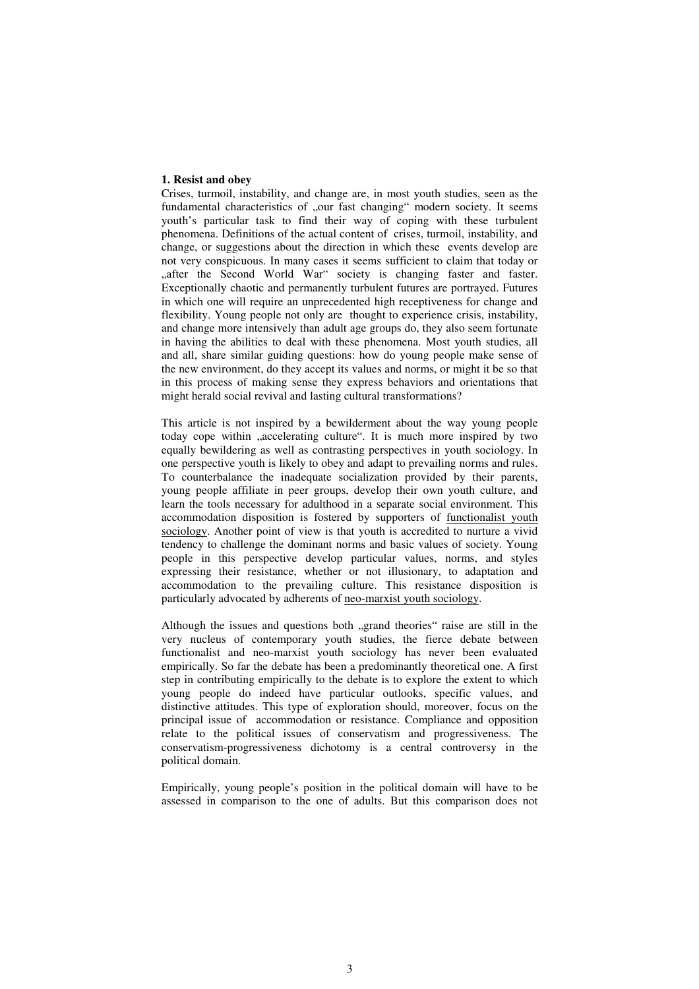#### **1. Resist and obey**

Crises, turmoil, instability, and change are, in most youth studies, seen as the fundamental characteristics of "our fast changing" modern society. It seems youth's particular task to find their way of coping with these turbulent phenomena. Definitions of the actual content of crises, turmoil, instability, and change, or suggestions about the direction in which these events develop are not very conspicuous. In many cases it seems sufficient to claim that today or "after the Second World War" society is changing faster and faster. Exceptionally chaotic and permanently turbulent futures are portrayed. Futures in which one will require an unprecedented high receptiveness for change and flexibility. Young people not only are thought to experience crisis, instability, and change more intensively than adult age groups do, they also seem fortunate in having the abilities to deal with these phenomena. Most youth studies, all and all, share similar guiding questions: how do young people make sense of the new environment, do they accept its values and norms, or might it be so that in this process of making sense they express behaviors and orientations that might herald social revival and lasting cultural transformations?

This article is not inspired by a bewilderment about the way young people today cope within "accelerating culture". It is much more inspired by two equally bewildering as well as contrasting perspectives in youth sociology. In one perspective youth is likely to obey and adapt to prevailing norms and rules. To counterbalance the inadequate socialization provided by their parents, young people affiliate in peer groups, develop their own youth culture, and learn the tools necessary for adulthood in a separate social environment. This accommodation disposition is fostered by supporters of functionalist youth sociology. Another point of view is that youth is accredited to nurture a vivid tendency to challenge the dominant norms and basic values of society. Young people in this perspective develop particular values, norms, and styles expressing their resistance, whether or not illusionary, to adaptation and accommodation to the prevailing culture. This resistance disposition is particularly advocated by adherents of neo-marxist youth sociology.

Although the issues and questions both "grand theories" raise are still in the very nucleus of contemporary youth studies, the fierce debate between functionalist and neo-marxist youth sociology has never been evaluated empirically. So far the debate has been a predominantly theoretical one. A first step in contributing empirically to the debate is to explore the extent to which young people do indeed have particular outlooks, specific values, and distinctive attitudes. This type of exploration should, moreover, focus on the principal issue of accommodation or resistance. Compliance and opposition relate to the political issues of conservatism and progressiveness. The conservatism-progressiveness dichotomy is a central controversy in the political domain.

Empirically, young people's position in the political domain will have to be assessed in comparison to the one of adults. But this comparison does not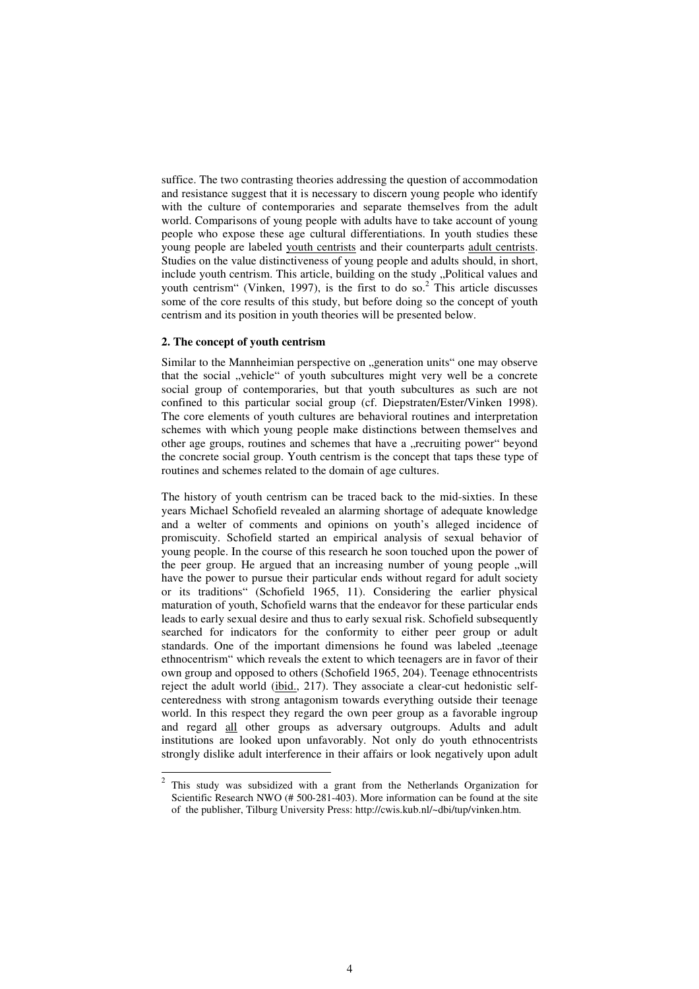suffice. The two contrasting theories addressing the question of accommodation and resistance suggest that it is necessary to discern young people who identify with the culture of contemporaries and separate themselves from the adult world. Comparisons of young people with adults have to take account of young people who expose these age cultural differentiations. In youth studies these young people are labeled youth centrists and their counterparts adult centrists. Studies on the value distinctiveness of young people and adults should, in short, include youth centrism. This article, building on the study "Political values and youth centrism" (Vinken, 1997), is the first to do so. <sup>2</sup> This article discusses some of the core results of this study, but before doing so the concept of youth centrism and its position in youth theories will be presented below.

## **2. The concept of youth centrism**

Similar to the Mannheimian perspective on "generation units" one may observe that the social "vehicle" of youth subcultures might very well be a concrete social group of contemporaries, but that youth subcultures as such are not confined to this particular social group (cf. Diepstraten/Ester/Vinken 1998). The core elements of youth cultures are behavioral routines and interpretation schemes with which young people make distinctions between themselves and other age groups, routines and schemes that have a "recruiting power" beyond the concrete social group. Youth centrism is the concept that taps these type of routines and schemes related to the domain of age cultures.

The history of youth centrism can be traced back to the mid-sixties. In these years Michael Schofield revealed an alarming shortage of adequate knowledge and a welter of comments and opinions on youth's alleged incidence of promiscuity. Schofield started an empirical analysis of sexual behavior of young people. In the course of this research he soon touched upon the power of the peer group. He argued that an increasing number of young people ,,will have the power to pursue their particular ends without regard for adult society or its traditions" (Schofield 1965, 11). Considering the earlier physical maturation of youth, Schofield warns that the endeavor for these particular ends leads to early sexual desire and thus to early sexual risk. Schofield subsequently searched for indicators for the conformity to either peer group or adult standards. One of the important dimensions he found was labeled "teenage ethnocentrism" which reveals the extent to which teenagers are in favor of their own group and opposed to others (Schofield 1965, 204). Teenage ethnocentrists reject the adult world (ibid., 217). They associate a clear-cut hedonistic selfcenteredness with strong antagonism towards everything outside their teenage world. In this respect they regard the own peer group as a favorable ingroup and regard all other groups as adversary outgroups. Adults and adult institutions are looked upon unfavorably. Not only do youth ethnocentrists strongly dislike adult interference in their affairs or look negatively upon adult

<sup>&</sup>lt;sup>2</sup> This study was subsidized with a grant from the Netherlands Organization for Scientific Research NWO (# 500-281-403). More information can be found at the site of the publisher, Tilburg University Press: http://cwis.kub.nl/~dbi/tup/vinken.htm.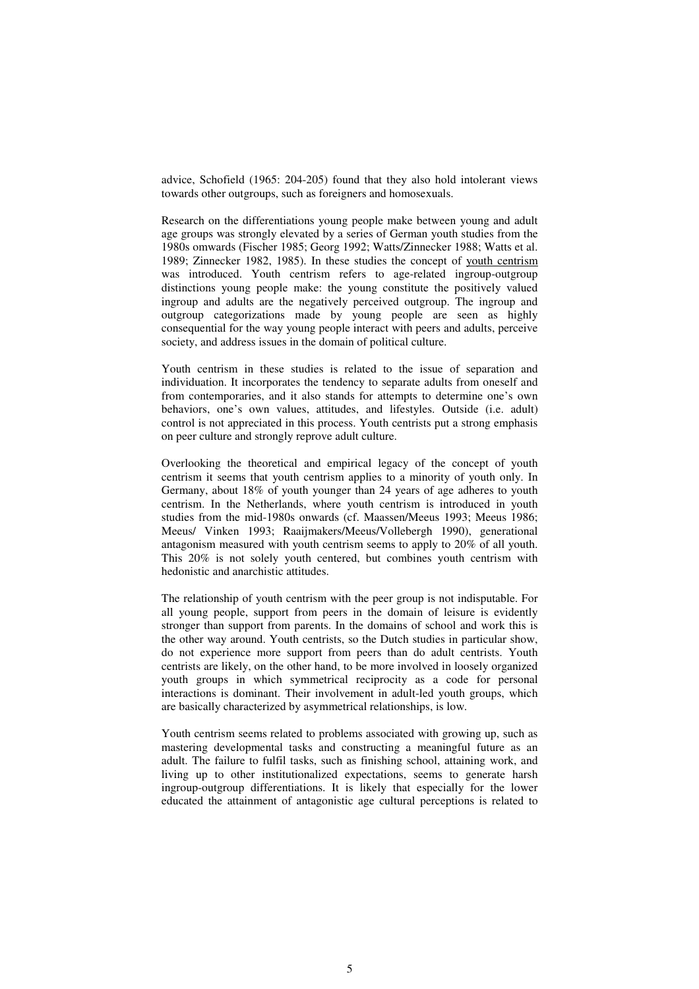advice, Schofield (1965: 204-205) found that they also hold intolerant views towards other outgroups, such as foreigners and homosexuals.

Research on the differentiations young people make between young and adult age groups was strongly elevated by a series of German youth studies from the 1980s omwards (Fischer 1985; Georg 1992; Watts/Zinnecker 1988; Watts et al. 1989; Zinnecker 1982, 1985). In these studies the concept of youth centrism was introduced. Youth centrism refers to age-related ingroup-outgroup distinctions young people make: the young constitute the positively valued ingroup and adults are the negatively perceived outgroup. The ingroup and outgroup categorizations made by young people are seen as highly consequential for the way young people interact with peers and adults, perceive society, and address issues in the domain of political culture.

Youth centrism in these studies is related to the issue of separation and individuation. It incorporates the tendency to separate adults from oneself and from contemporaries, and it also stands for attempts to determine one's own behaviors, one's own values, attitudes, and lifestyles. Outside (i.e. adult) control is not appreciated in this process. Youth centrists put a strong emphasis on peer culture and strongly reprove adult culture.

Overlooking the theoretical and empirical legacy of the concept of youth centrism it seems that youth centrism applies to a minority of youth only. In Germany, about 18% of youth younger than 24 years of age adheres to youth centrism. In the Netherlands, where youth centrism is introduced in youth studies from the mid-1980s onwards (cf. Maassen/Meeus 1993; Meeus 1986; Meeus/ Vinken 1993; Raaijmakers/Meeus/Vollebergh 1990), generational antagonism measured with youth centrism seems to apply to 20% of all youth. This 20% is not solely youth centered, but combines youth centrism with hedonistic and anarchistic attitudes.

The relationship of youth centrism with the peer group is not indisputable. For all young people, support from peers in the domain of leisure is evidently stronger than support from parents. In the domains of school and work this is the other way around. Youth centrists, so the Dutch studies in particular show, do not experience more support from peers than do adult centrists. Youth centrists are likely, on the other hand, to be more involved in loosely organized youth groups in which symmetrical reciprocity as a code for personal interactions is dominant. Their involvement in adult-led youth groups, which are basically characterized by asymmetrical relationships, is low.

Youth centrism seems related to problems associated with growing up, such as mastering developmental tasks and constructing a meaningful future as an adult. The failure to fulfil tasks, such as finishing school, attaining work, and living up to other institutionalized expectations, seems to generate harsh ingroup-outgroup differentiations. It is likely that especially for the lower educated the attainment of antagonistic age cultural perceptions is related to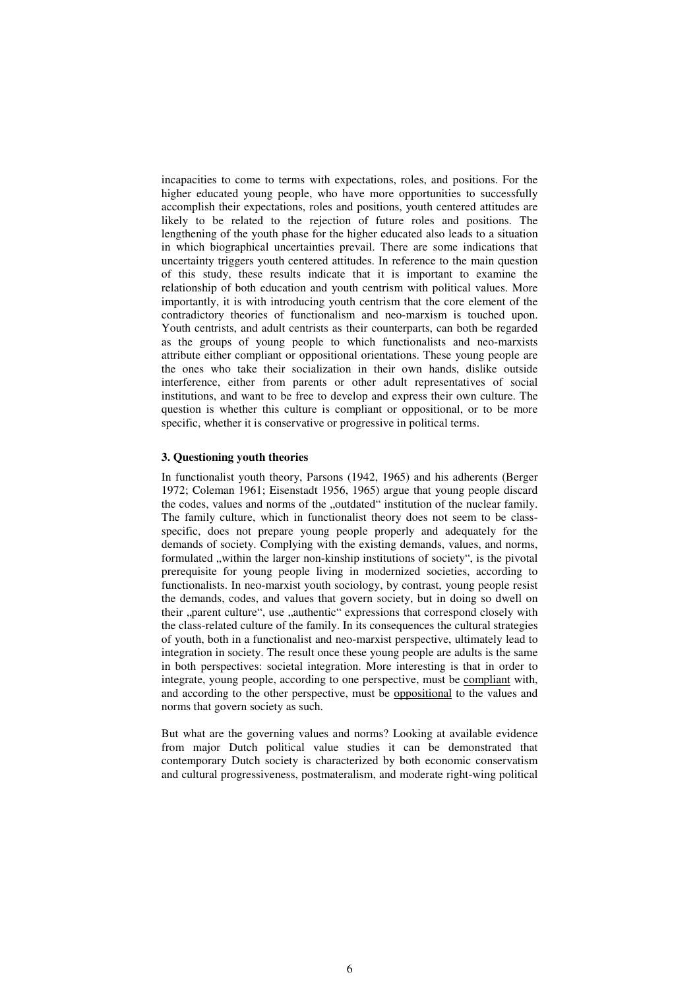incapacities to come to terms with expectations, roles, and positions. For the higher educated young people, who have more opportunities to successfully accomplish their expectations, roles and positions, youth centered attitudes are likely to be related to the rejection of future roles and positions. The lengthening of the youth phase for the higher educated also leads to a situation in which biographical uncertainties prevail. There are some indications that uncertainty triggers youth centered attitudes. In reference to the main question of this study, these results indicate that it is important to examine the relationship of both education and youth centrism with political values. More importantly, it is with introducing youth centrism that the core element of the contradictory theories of functionalism and neo-marxism is touched upon. Youth centrists, and adult centrists as their counterparts, can both be regarded as the groups of young people to which functionalists and neo-marxists attribute either compliant or oppositional orientations. These young people are the ones who take their socialization in their own hands, dislike outside interference, either from parents or other adult representatives of social institutions, and want to be free to develop and express their own culture. The question is whether this culture is compliant or oppositional, or to be more specific, whether it is conservative or progressive in political terms.

## **3. Questioning youth theories**

In functionalist youth theory, Parsons (1942, 1965) and his adherents (Berger 1972; Coleman 1961; Eisenstadt 1956, 1965) argue that young people discard the codes, values and norms of the "outdated" institution of the nuclear family. The family culture, which in functionalist theory does not seem to be classspecific, does not prepare young people properly and adequately for the demands of society. Complying with the existing demands, values, and norms, formulated , within the larger non-kinship institutions of society", is the pivotal prerequisite for young people living in modernized societies, according to functionalists. In neo-marxist youth sociology, by contrast, young people resist the demands, codes, and values that govern society, but in doing so dwell on their "parent culture", use "authentic" expressions that correspond closely with the class-related culture of the family. In its consequences the cultural strategies of youth, both in a functionalist and neo-marxist perspective, ultimately lead to integration in society. The result once these young people are adults is the same in both perspectives: societal integration. More interesting is that in order to integrate, young people, according to one perspective, must be compliant with, and according to the other perspective, must be oppositional to the values and norms that govern society as such.

But what are the governing values and norms? Looking at available evidence from major Dutch political value studies it can be demonstrated that contemporary Dutch society is characterized by both economic conservatism and cultural progressiveness, postmateralism, and moderate right-wing political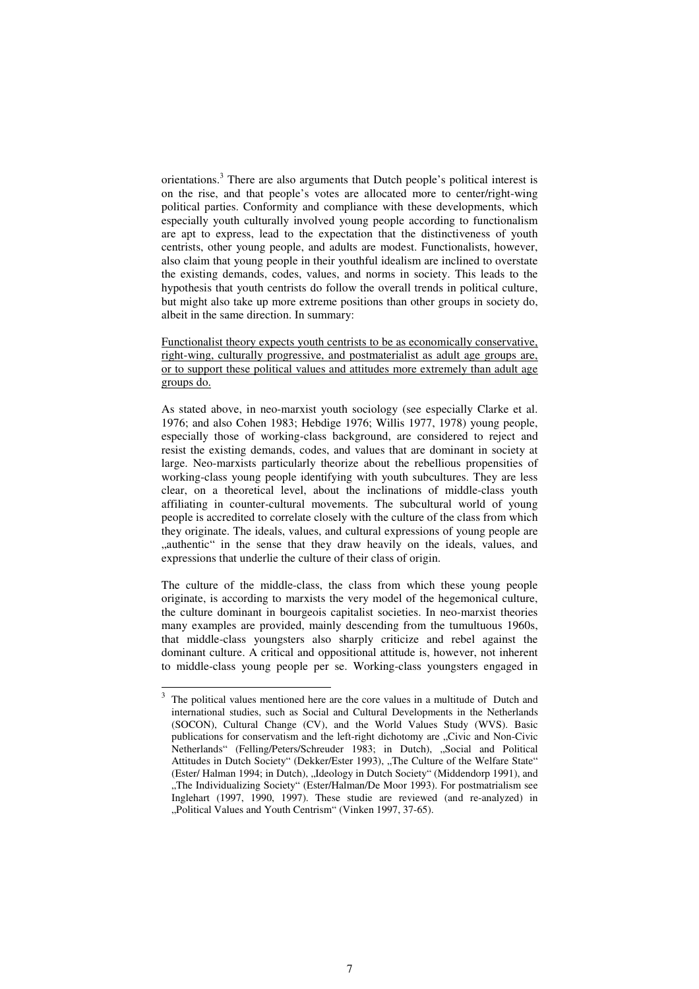orientations.<sup>3</sup> There are also arguments that Dutch people's political interest is on the rise, and that people's votes are allocated more to center/right-wing political parties. Conformity and compliance with these developments, which especially youth culturally involved young people according to functionalism are apt to express, lead to the expectation that the distinctiveness of youth centrists, other young people, and adults are modest. Functionalists, however, also claim that young people in their youthful idealism are inclined to overstate the existing demands, codes, values, and norms in society. This leads to the hypothesis that youth centrists do follow the overall trends in political culture, but might also take up more extreme positions than other groups in society do, albeit in the same direction. In summary:

Functionalist theory expects youth centrists to be as economically conservative, right-wing, culturally progressive, and postmaterialist as adult age groups are, or to support these political values and attitudes more extremely than adult age groups do.

As stated above, in neo-marxist youth sociology (see especially Clarke et al. 1976; and also Cohen 1983; Hebdige 1976; Willis 1977, 1978) young people, especially those of working-class background, are considered to reject and resist the existing demands, codes, and values that are dominant in society at large. Neo-marxists particularly theorize about the rebellious propensities of working-class young people identifying with youth subcultures. They are less clear, on a theoretical level, about the inclinations of middle-class youth affiliating in counter-cultural movements. The subcultural world of young people is accredited to correlate closely with the culture of the class from which they originate. The ideals, values, and cultural expressions of young people are "authentic" in the sense that they draw heavily on the ideals, values, and expressions that underlie the culture of their class of origin.

The culture of the middle-class, the class from which these young people originate, is according to marxists the very model of the hegemonical culture, the culture dominant in bourgeois capitalist societies. In neo-marxist theories many examples are provided, mainly descending from the tumultuous 1960s, that middle-class youngsters also sharply criticize and rebel against the dominant culture. A critical and oppositional attitude is, however, not inherent to middle-class young people per se. Working-class youngsters engaged in

<sup>3</sup> The political values mentioned here are the core values in a multitude of Dutch and international studies, such as Social and Cultural Developments in the Netherlands (SOCON), Cultural Change (CV), and the World Values Study (WVS). Basic publications for conservatism and the left-right dichotomy are "Civic and Non-Civic Netherlands" (Felling/Peters/Schreuder 1983; in Dutch), "Social and Political Attitudes in Dutch Society" (Dekker/Ester 1993), "The Culture of the Welfare State" (Ester/ Halman 1994; in Dutch), "Ideology in Dutch Society" (Middendorp 1991), and "The Individualizing Society" (Ester/Halman/De Moor 1993). For postmatrialism see Inglehart (1997, 1990, 1997). These studie are reviewed (and re-analyzed) in "Political Values and Youth Centrism" (Vinken 1997, 37-65).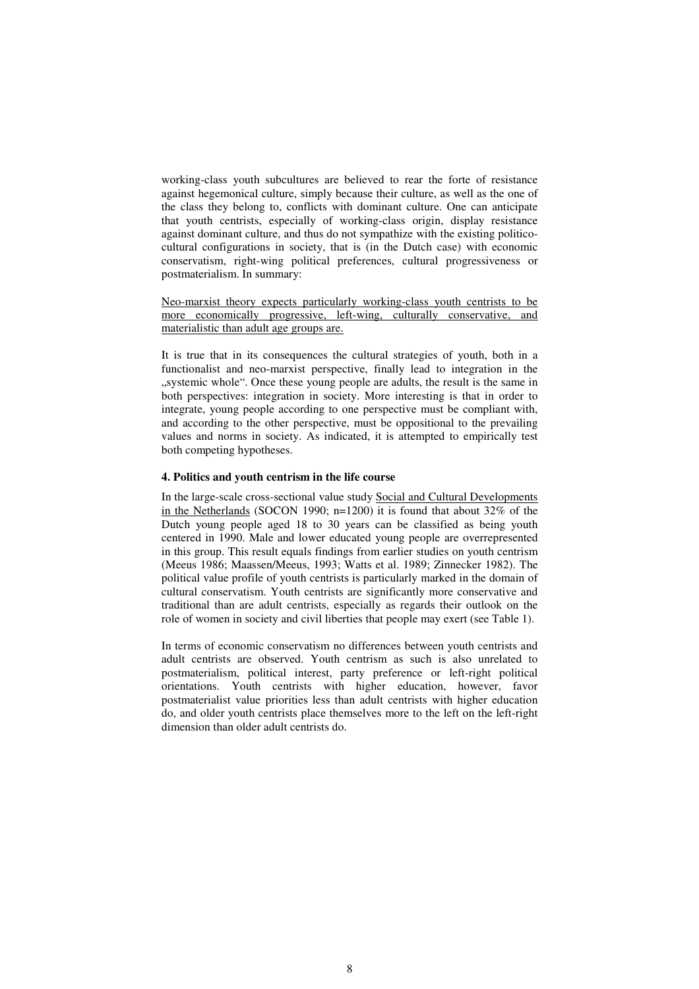working-class youth subcultures are believed to rear the forte of resistance against hegemonical culture, simply because their culture, as well as the one of the class they belong to, conflicts with dominant culture. One can anticipate that youth centrists, especially of working-class origin, display resistance against dominant culture, and thus do not sympathize with the existing politicocultural configurations in society, that is (in the Dutch case) with economic conservatism, right-wing political preferences, cultural progressiveness or postmaterialism. In summary:

Neo-marxist theory expects particularly working-class youth centrists to be more economically progressive, left-wing, culturally conservative, and materialistic than adult age groups are.

It is true that in its consequences the cultural strategies of youth, both in a functionalist and neo-marxist perspective, finally lead to integration in the "systemic whole". Once these young people are adults, the result is the same in both perspectives: integration in society. More interesting is that in order to integrate, young people according to one perspective must be compliant with, and according to the other perspective, must be oppositional to the prevailing values and norms in society. As indicated, it is attempted to empirically test both competing hypotheses.

## **4. Politics and youth centrism in the life course**

In the large-scale cross-sectional value study Social and Cultural Developments in the Netherlands (SOCON 1990;  $n=1200$ ) it is found that about 32% of the Dutch young people aged 18 to 30 years can be classified as being youth centered in 1990. Male and lower educated young people are overrepresented in this group. This result equals findings from earlier studies on youth centrism (Meeus 1986; Maassen/Meeus, 1993; Watts et al. 1989; Zinnecker 1982). The political value profile of youth centrists is particularly marked in the domain of cultural conservatism. Youth centrists are significantly more conservative and traditional than are adult centrists, especially as regards their outlook on the role of women in society and civil liberties that people may exert (see Table 1).

In terms of economic conservatism no differences between youth centrists and adult centrists are observed. Youth centrism as such is also unrelated to postmaterialism, political interest, party preference or left-right political orientations. Youth centrists with higher education, however, favor postmaterialist value priorities less than adult centrists with higher education do, and older youth centrists place themselves more to the left on the left-right dimension than older adult centrists do.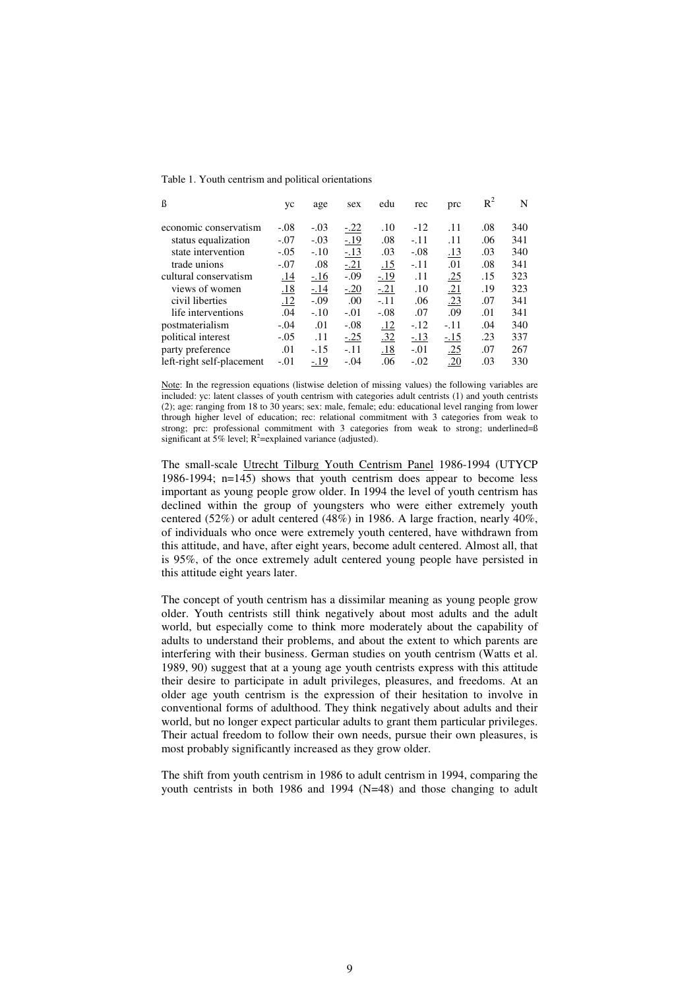Table 1. Youth centrism and political orientations

| ß                         | yc         | age         | sex    | edu        | rec    | prc        | $R^2$ | N   |
|---------------------------|------------|-------------|--------|------------|--------|------------|-------|-----|
| economic conservatism     | $-.08$     | $-.03$      | $-.22$ | .10        | $-12$  | .11        | .08   | 340 |
| status equalization       | $-.07$     | $-.03$      | $-.19$ | .08        | $-.11$ | .11        | .06   | 341 |
| state intervention        | $-.05$     | $-.10$      | $-.13$ | .03        | $-.08$ | .13        | .03   | 340 |
| trade unions              | $-.07$     | .08         | $-21$  | <u>.15</u> | $-.11$ | .01        | .08   | 341 |
| cultural conservatism     | <u>.14</u> | <u>-.16</u> | $-.09$ | $-19$      | .11    | <u>.25</u> | .15   | 323 |
| views of women            | <u>.18</u> | $-14$       | $-.20$ | $-21$      | .10    | <u>.21</u> | .19   | 323 |
| civil liberties           | .12        | $-.09$      | .00    | $-.11$     | .06    | .23        | .07   | 341 |
| life interventions        | .04        | $-.10$      | $-.01$ | $-.08$     | .07    | .09        | .01   | 341 |
| postmaterialism           | $-.04$     | .01         | $-.08$ | <u>.12</u> | $-.12$ | $-.11$     | .04   | 340 |
| political interest        | $-.05$     | .11         | $-.25$ | .32        | $-13$  | $-15$      | .23   | 337 |
| party preference          | .01        | $-.15$      | $-.11$ | .18        | $-.01$ | .25        | .07   | 267 |
| left-right self-placement | $-.01$     | $-.19$      | $-.04$ | .06        | $-.02$ | .20        | .03   | 330 |

Note: In the regression equations (listwise deletion of missing values) the following variables are included: yc: latent classes of youth centrism with categories adult centrists (1) and youth centrists (2); age: ranging from 18 to 30 years; sex: male, female; edu: educational level ranging from lower through higher level of education; rec: relational commitment with 3 categories from weak to strong; prc: professional commitment with 3 categories from weak to strong; underlined= $\beta$ significant at  $5\%$  level; R<sup>2</sup>=explained variance (adjusted).

The small-scale Utrecht Tilburg Youth Centrism Panel 1986-1994 (UTYCP 1986-1994; n=145) shows that youth centrism does appear to become less important as young people grow older. In 1994 the level of youth centrism has declined within the group of youngsters who were either extremely youth centered (52%) or adult centered (48%) in 1986. A large fraction, nearly 40%, of individuals who once were extremely youth centered, have withdrawn from this attitude, and have, after eight years, become adult centered. Almost all, that is 95%, of the once extremely adult centered young people have persisted in this attitude eight years later.

The concept of youth centrism has a dissimilar meaning as young people grow older. Youth centrists still think negatively about most adults and the adult world, but especially come to think more moderately about the capability of adults to understand their problems, and about the extent to which parents are interfering with their business. German studies on youth centrism (Watts et al. 1989, 90) suggest that at a young age youth centrists express with this attitude their desire to participate in adult privileges, pleasures, and freedoms. At an older age youth centrism is the expression of their hesitation to involve in conventional forms of adulthood. They think negatively about adults and their world, but no longer expect particular adults to grant them particular privileges. Their actual freedom to follow their own needs, pursue their own pleasures, is most probably significantly increased as they grow older.

The shift from youth centrism in 1986 to adult centrism in 1994, comparing the youth centrists in both 1986 and 1994 (N=48) and those changing to adult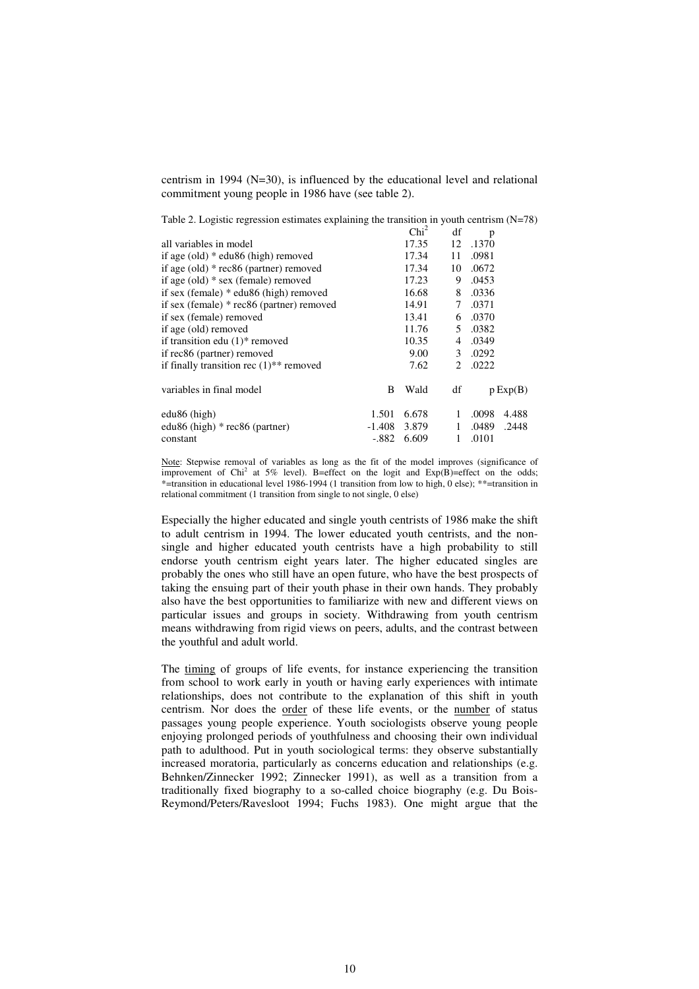centrism in 1994 (N=30), is influenced by the educational level and relational commitment young people in 1986 have (see table 2).

Table 2. Logistic regression estimates explaining the transition in youth centrism (N=78)  $\overline{d}$ 

|                                                       |          | Chi <sup>2</sup> | df | p     |          |
|-------------------------------------------------------|----------|------------------|----|-------|----------|
| all variables in model                                |          | 17.35            | 12 | .1370 |          |
| if age $\text{(old)}$ * edu86 (high) removed          |          | 17.34            | 11 | .0981 |          |
| if age (old) $*$ rec86 (partner) removed              |          | 17.34            | 10 | .0672 |          |
| if age (old) $*$ sex (female) removed                 |          | 17.23            | 9  | .0453 |          |
| if sex (female) $*$ edu86 (high) removed              |          | 16.68            | 8  | .0336 |          |
| if sex (female) $*$ rec86 (partner) removed           |          | 14.91            | 7  | .0371 |          |
| if sex (female) removed                               |          | 13.41            | 6  | .0370 |          |
| if age (old) removed                                  |          | 11.76            | 5  | .0382 |          |
| if transition edu $(1)$ * removed                     |          | 10.35            | 4  | .0349 |          |
| if rec86 (partner) removed                            |          | 9.00             | 3  | .0292 |          |
| if finally transition rec $(1)$ <sup>**</sup> removed |          | 7.62             | 2  | .0222 |          |
| variables in final model                              | B        | Wald             | df |       | p Exp(B) |
| $edu86$ (high)                                        | 1.501    | 6.678            | 1  | .0098 | 4.488    |
| edu86 (high) $*$ rec86 (partner)                      | $-1.408$ | 3.879            | 1  | .0489 | .2448    |
| constant                                              | $-.882$  | 6.609            | 1  | .0101 |          |

Note: Stepwise removal of variables as long as the fit of the model improves (significance of improvement of Chi<sup>2</sup> at 5% level). B=effect on the logit and  $Exp(B)$ =effect on the odds; \*=transition in educational level 1986-1994 (1 transition from low to high, 0 else); \*\*=transition in relational commitment (1 transition from single to not single, 0 else)

Especially the higher educated and single youth centrists of 1986 make the shift to adult centrism in 1994. The lower educated youth centrists, and the nonsingle and higher educated youth centrists have a high probability to still endorse youth centrism eight years later. The higher educated singles are probably the ones who still have an open future, who have the best prospects of taking the ensuing part of their youth phase in their own hands. They probably also have the best opportunities to familiarize with new and different views on particular issues and groups in society. Withdrawing from youth centrism means withdrawing from rigid views on peers, adults, and the contrast between the youthful and adult world.

The timing of groups of life events, for instance experiencing the transition from school to work early in youth or having early experiences with intimate relationships, does not contribute to the explanation of this shift in youth centrism. Nor does the order of these life events, or the number of status passages young people experience. Youth sociologists observe young people enjoying prolonged periods of youthfulness and choosing their own individual path to adulthood. Put in youth sociological terms: they observe substantially increased moratoria, particularly as concerns education and relationships (e.g. Behnken/Zinnecker 1992; Zinnecker 1991), as well as a transition from a traditionally fixed biography to a so-called choice biography (e.g. Du Bois-Reymond/Peters/Ravesloot 1994; Fuchs 1983). One might argue that the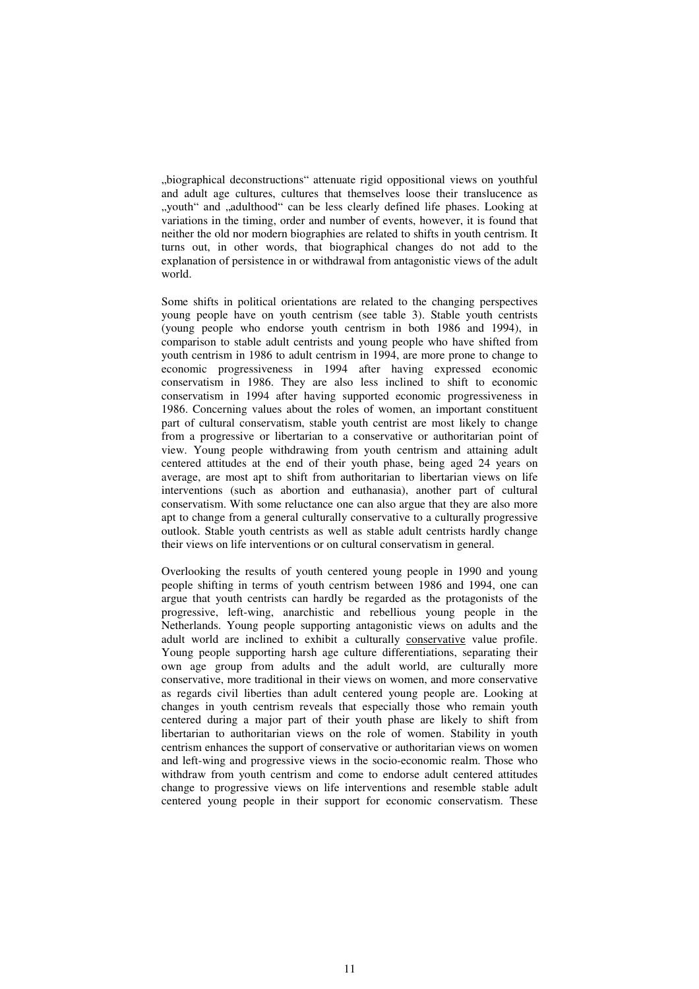"biographical deconstructions" attenuate rigid oppositional views on youthful and adult age cultures, cultures that themselves loose their translucence as ", youth" and "adulthood" can be less clearly defined life phases. Looking at variations in the timing, order and number of events, however, it is found that neither the old nor modern biographies are related to shifts in youth centrism. It turns out, in other words, that biographical changes do not add to the explanation of persistence in or withdrawal from antagonistic views of the adult world.

Some shifts in political orientations are related to the changing perspectives young people have on youth centrism (see table 3). Stable youth centrists (young people who endorse youth centrism in both 1986 and 1994), in comparison to stable adult centrists and young people who have shifted from youth centrism in 1986 to adult centrism in 1994, are more prone to change to economic progressiveness in 1994 after having expressed economic conservatism in 1986. They are also less inclined to shift to economic conservatism in 1994 after having supported economic progressiveness in 1986. Concerning values about the roles of women, an important constituent part of cultural conservatism, stable youth centrist are most likely to change from a progressive or libertarian to a conservative or authoritarian point of view. Young people withdrawing from youth centrism and attaining adult centered attitudes at the end of their youth phase, being aged 24 years on average, are most apt to shift from authoritarian to libertarian views on life interventions (such as abortion and euthanasia), another part of cultural conservatism. With some reluctance one can also argue that they are also more apt to change from a general culturally conservative to a culturally progressive outlook. Stable youth centrists as well as stable adult centrists hardly change their views on life interventions or on cultural conservatism in general.

Overlooking the results of youth centered young people in 1990 and young people shifting in terms of youth centrism between 1986 and 1994, one can argue that youth centrists can hardly be regarded as the protagonists of the progressive, left-wing, anarchistic and rebellious young people in the Netherlands. Young people supporting antagonistic views on adults and the adult world are inclined to exhibit a culturally conservative value profile. Young people supporting harsh age culture differentiations, separating their own age group from adults and the adult world, are culturally more conservative, more traditional in their views on women, and more conservative as regards civil liberties than adult centered young people are. Looking at changes in youth centrism reveals that especially those who remain youth centered during a major part of their youth phase are likely to shift from libertarian to authoritarian views on the role of women. Stability in youth centrism enhances the support of conservative or authoritarian views on women and left-wing and progressive views in the socio-economic realm. Those who withdraw from youth centrism and come to endorse adult centered attitudes change to progressive views on life interventions and resemble stable adult centered young people in their support for economic conservatism. These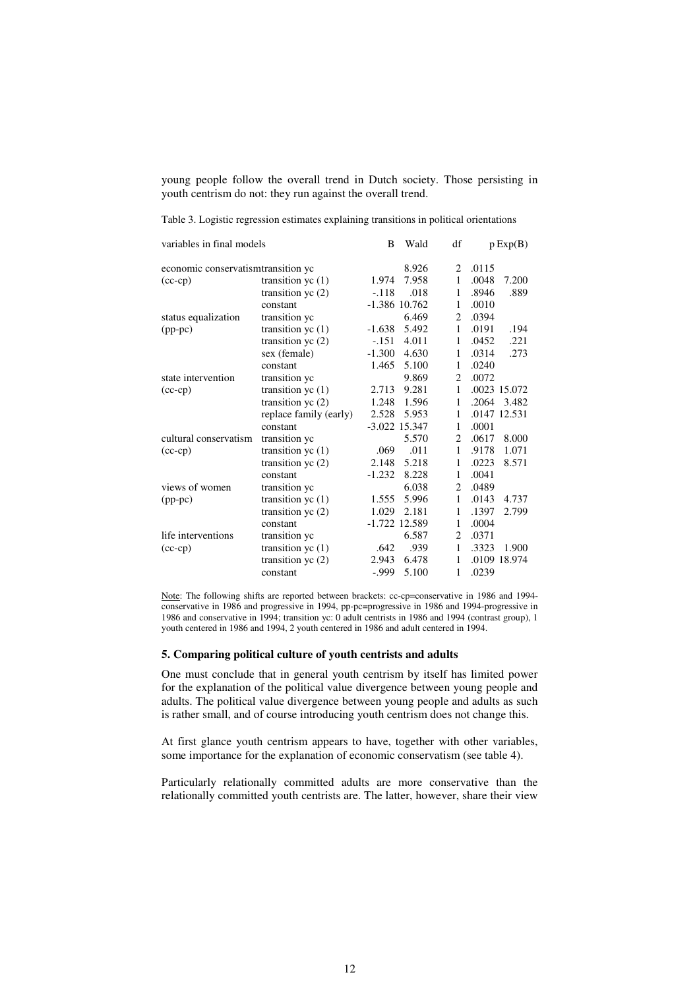young people follow the overall trend in Dutch society. Those persisting in youth centrism do not: they run against the overall trend.

| variables in final models           |                        | B        | Wald            | df             | p Exp(B)       |  |
|-------------------------------------|------------------------|----------|-----------------|----------------|----------------|--|
| economic conservatism transition yc |                        | 8.926    | 2               | .0115          |                |  |
| $(cc-cp)$                           | transition $yc(1)$     | 1.974    | 7.958           | 1              | .0048<br>7.200 |  |
|                                     | transition yc $(2)$    | $-.118$  | .018            | 1              | .8946<br>.889  |  |
|                                     | constant               |          | $-1.386$ 10.762 | 1              | .0010          |  |
| status equalization                 | transition yc          |          | 6.469           | $\overline{2}$ | .0394          |  |
| $(pp-pc)$                           | transition $yc(1)$     | $-1.638$ | 5.492           | 1              | .0191<br>.194  |  |
|                                     | transition yc $(2)$    | $-151$   | 4.011           | 1              | .221<br>.0452  |  |
|                                     | sex (female)           | $-1.300$ | 4.630           | 1              | .273<br>.0314  |  |
|                                     | constant               | 1.465    | 5.100           | 1              | .0240          |  |
| state intervention                  | transition ye          |          | 9.869           | $\overline{2}$ | .0072          |  |
| $(cc-cp)$                           | transition $yc(1)$     | 2.713    | 9.281           | 1              | .0023 15.072   |  |
|                                     | transition yc $(2)$    | 1.248    | 1.596           | 1              | .2064<br>3.482 |  |
|                                     | replace family (early) | 2.528    | 5.953           | 1              | .0147 12.531   |  |
|                                     | constant               |          | $-3.022$ 15.347 | 1              | .0001          |  |
| cultural conservatism               | transition yc          |          | 5.570           | 2              | .0617<br>8.000 |  |
| $(cc-cp)$                           | transition $yc(1)$     | .069     | .011            | 1              | .9178<br>1.071 |  |
|                                     | transition $yc(2)$     | 2.148    | 5.218           | 1              | .0223<br>8.571 |  |
|                                     | constant               | $-1.232$ | 8.228           | 1              | .0041          |  |
| views of women                      | transition yc          |          | 6.038           | $\overline{2}$ | .0489          |  |
| $(pp-pc)$                           | transition yc $(1)$    | 1.555    | 5.996           | $\mathbf{1}$   | .0143<br>4.737 |  |
|                                     | transition yc $(2)$    | 1.029    | 2.181           | 1              | .1397<br>2.799 |  |
|                                     | constant               |          | -1.722 12.589   | 1              | .0004          |  |
| life interventions                  | transition ye          |          | 6.587           | 2              | .0371          |  |
| $(cc-cp)$                           | transition $yc(1)$     | .642     | .939            | 1              | .3323<br>1.900 |  |
|                                     | transition yc $(2)$    | 2.943    | 6.478           | 1              | .0109 18.974   |  |
|                                     | constant               | $-0.999$ | 5.100           | 1              | .0239          |  |

Table 3. Logistic regression estimates explaining transitions in political orientations

Note: The following shifts are reported between brackets: cc-cp=conservative in 1986 and 1994 conservative in 1986 and progressive in 1994, pp-pc=progressive in 1986 and 1994-progressive in 1986 and conservative in 1994; transition yc: 0 adult centrists in 1986 and 1994 (contrast group), 1 youth centered in 1986 and 1994, 2 youth centered in 1986 and adult centered in 1994.

### **5. Comparing political culture of youth centrists and adults**

One must conclude that in general youth centrism by itself has limited power for the explanation of the political value divergence between young people and adults. The political value divergence between young people and adults as such is rather small, and of course introducing youth centrism does not change this.

At first glance youth centrism appears to have, together with other variables, some importance for the explanation of economic conservatism (see table 4).

Particularly relationally committed adults are more conservative than the relationally committed youth centrists are. The latter, however, share their view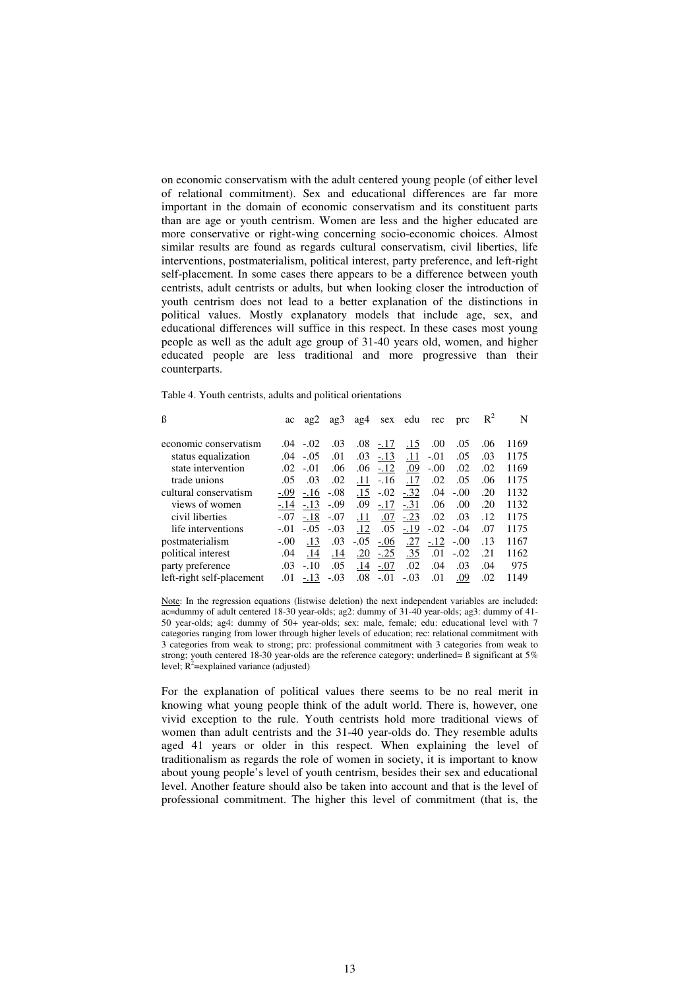on economic conservatism with the adult centered young people (of either level of relational commitment). Sex and educational differences are far more important in the domain of economic conservatism and its constituent parts than are age or youth centrism. Women are less and the higher educated are more conservative or right-wing concerning socio-economic choices. Almost similar results are found as regards cultural conservatism, civil liberties, life interventions, postmaterialism, political interest, party preference, and left-right self-placement. In some cases there appears to be a difference between youth centrists, adult centrists or adults, but when looking closer the introduction of youth centrism does not lead to a better explanation of the distinctions in political values. Mostly explanatory models that include age, sex, and educational differences will suffice in this respect. In these cases most young people as well as the adult age group of 31-40 years old, women, and higher educated people are less traditional and more progressive than their counterparts.

Table 4. Youth centrists, adults and political orientations

| ß                         | ac      | ag2         | ag3    | a <sub>g</sub> 4 |        | sex edu        | rec        | prc    | $R^2$ | N    |
|---------------------------|---------|-------------|--------|------------------|--------|----------------|------------|--------|-------|------|
| economic conservatism     |         | $.04 - .02$ | .03    | .08              | $-.17$ | .15            | .00        | .05    | .06   | 1169 |
| status equalization       | .04     | $-.05$      | .01    | .03              | $-.13$ | .11            | $-.01$     | .05    | .03   | 1175 |
|                           |         |             |        |                  |        |                |            |        |       |      |
| state intervention        | $.02\,$ | $-.01$      | .06    | .06              | $-.12$ | .09            | $-.00$     | .02    | .02   | 1169 |
| trade unions              | .05     | .03         | .02    | .11              | $-.16$ | .17            | .02        | .05    | .06   | 1175 |
| cultural conservatism     | $-.09$  | $-.16$      | $-.08$ | .15              |        | $-0.02 - 0.32$ | .04        | $-.00$ | .20   | 1132 |
| views of women            | $-.14$  | $-.13$      | $-.09$ | .09              | $-.17$ | $-.31$         | .06        | .00.   | .20   | 1132 |
| civil liberties           | $-.07$  | $-.18$      | $-.07$ | .11              | .07    | $-.23$         | $.02\,$    | .03    | .12   | 1175 |
| life interventions        | $-.01$  | $-.05$      | $-.03$ | .12              | .05    | $-.19$         | $-.02-.04$ |        | .07   | 1175 |
| postmaterialism           | $-.00$  | .13         | .03    | $-.05$           | $-.06$ | .27            | $-.12$     | $-.00$ | .13   | 1167 |
| political interest        | .04     | .14         | .14    | .20              | $-.25$ | .35            | .01        | $-.02$ | .21   | 1162 |
| party preference          | .03     | $-.10$      | .05    | .14              | $-.07$ | .02            | .04        | .03    | .04   | 975  |
| left-right self-placement | .01     | $-.13$      | $-.03$ | .08              | $-.01$ | $-.03$         | .01        | .09    | .02   | 1149 |

Note: In the regression equations (listwise deletion) the next independent variables are included: ac=dummy of adult centered 18-30 year-olds; ag2: dummy of 31-40 year-olds; ag3: dummy of 41- 50 year-olds; ag4: dummy of 50+ year-olds; sex: male, female; edu: educational level with 7 categories ranging from lower through higher levels of education; rec: relational commitment with 3 categories from weak to strong; prc: professional commitment with 3 categories from weak to strong; youth centered 18-30 year-olds are the reference category; underlined= ß significant at 5% level;  $R^2$ =explained variance (adjusted)

For the explanation of political values there seems to be no real merit in knowing what young people think of the adult world. There is, however, one vivid exception to the rule. Youth centrists hold more traditional views of women than adult centrists and the 31-40 year-olds do. They resemble adults aged 41 years or older in this respect. When explaining the level of traditionalism as regards the role of women in society, it is important to know about young people's level of youth centrism, besides their sex and educational level. Another feature should also be taken into account and that is the level of professional commitment. The higher this level of commitment (that is, the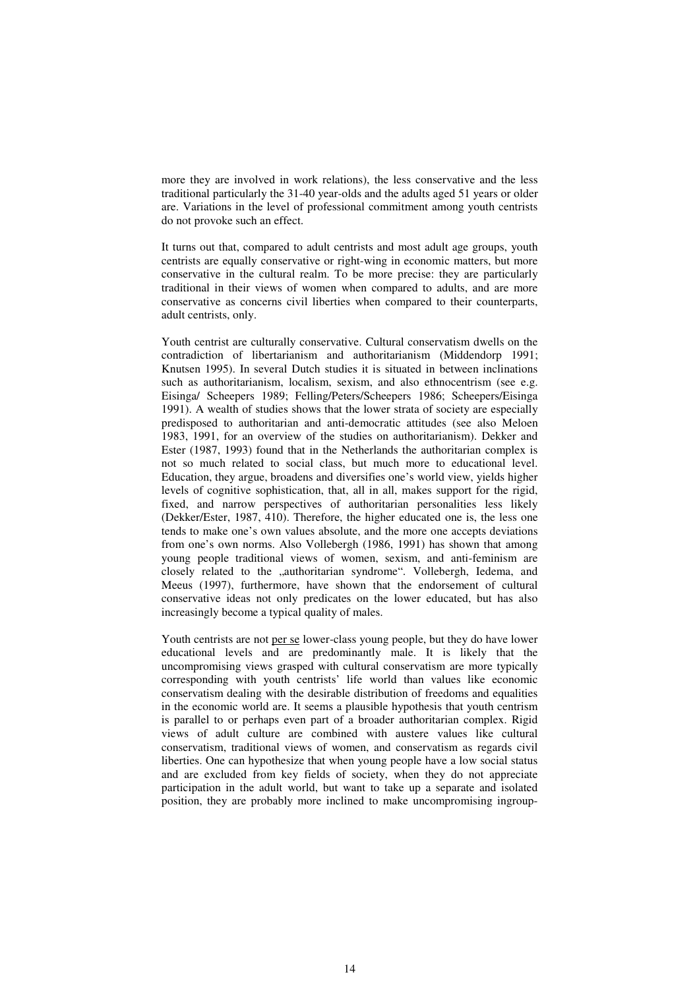more they are involved in work relations), the less conservative and the less traditional particularly the 31-40 year-olds and the adults aged 51 years or older are. Variations in the level of professional commitment among youth centrists do not provoke such an effect.

It turns out that, compared to adult centrists and most adult age groups, youth centrists are equally conservative or right-wing in economic matters, but more conservative in the cultural realm. To be more precise: they are particularly traditional in their views of women when compared to adults, and are more conservative as concerns civil liberties when compared to their counterparts, adult centrists, only.

Youth centrist are culturally conservative. Cultural conservatism dwells on the contradiction of libertarianism and authoritarianism (Middendorp 1991; Knutsen 1995). In several Dutch studies it is situated in between inclinations such as authoritarianism, localism, sexism, and also ethnocentrism (see e.g. Eisinga/ Scheepers 1989; Felling/Peters/Scheepers 1986; Scheepers/Eisinga 1991). A wealth of studies shows that the lower strata of society are especially predisposed to authoritarian and anti-democratic attitudes (see also Meloen 1983, 1991, for an overview of the studies on authoritarianism). Dekker and Ester (1987, 1993) found that in the Netherlands the authoritarian complex is not so much related to social class, but much more to educational level. Education, they argue, broadens and diversifies one's world view, yields higher levels of cognitive sophistication, that, all in all, makes support for the rigid, fixed, and narrow perspectives of authoritarian personalities less likely (Dekker/Ester, 1987, 410). Therefore, the higher educated one is, the less one tends to make one's own values absolute, and the more one accepts deviations from one's own norms. Also Vollebergh (1986, 1991) has shown that among young people traditional views of women, sexism, and anti-feminism are closely related to the "authoritarian syndrome". Vollebergh, Iedema, and Meeus (1997), furthermore, have shown that the endorsement of cultural conservative ideas not only predicates on the lower educated, but has also increasingly become a typical quality of males.

Youth centrists are not per se lower-class young people, but they do have lower educational levels and are predominantly male. It is likely that the uncompromising views grasped with cultural conservatism are more typically corresponding with youth centrists' life world than values like economic conservatism dealing with the desirable distribution of freedoms and equalities in the economic world are. It seems a plausible hypothesis that youth centrism is parallel to or perhaps even part of a broader authoritarian complex. Rigid views of adult culture are combined with austere values like cultural conservatism, traditional views of women, and conservatism as regards civil liberties. One can hypothesize that when young people have a low social status and are excluded from key fields of society, when they do not appreciate participation in the adult world, but want to take up a separate and isolated position, they are probably more inclined to make uncompromising ingroup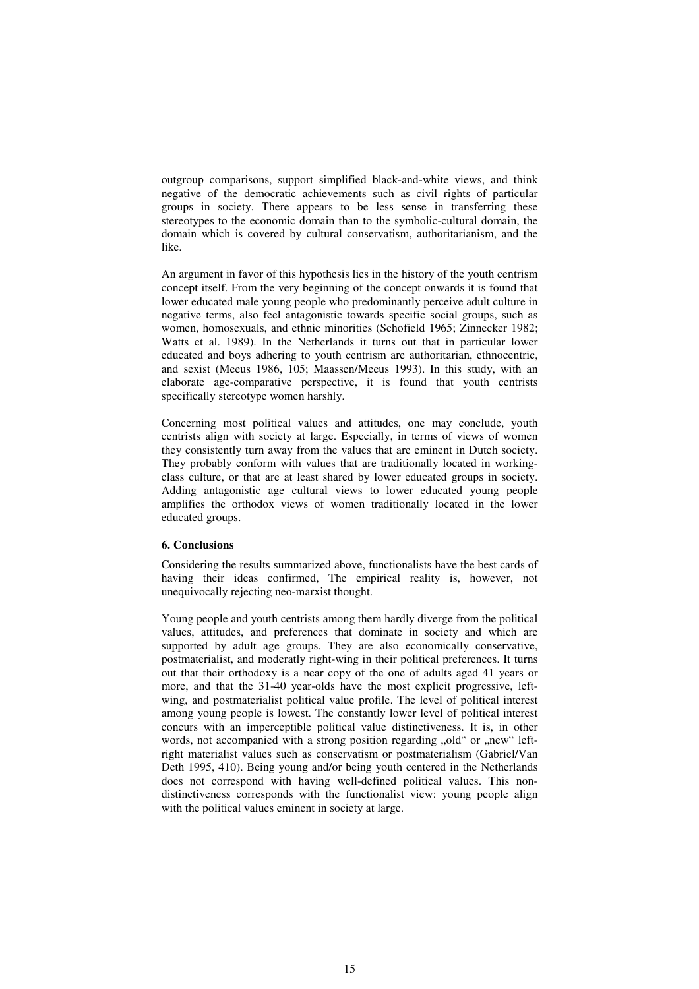outgroup comparisons, support simplified black-and-white views, and think negative of the democratic achievements such as civil rights of particular groups in society. There appears to be less sense in transferring these stereotypes to the economic domain than to the symbolic-cultural domain, the domain which is covered by cultural conservatism, authoritarianism, and the like.

An argument in favor of this hypothesis lies in the history of the youth centrism concept itself. From the very beginning of the concept onwards it is found that lower educated male young people who predominantly perceive adult culture in negative terms, also feel antagonistic towards specific social groups, such as women, homosexuals, and ethnic minorities (Schofield 1965; Zinnecker 1982; Watts et al. 1989). In the Netherlands it turns out that in particular lower educated and boys adhering to youth centrism are authoritarian, ethnocentric, and sexist (Meeus 1986, 105; Maassen/Meeus 1993). In this study, with an elaborate age-comparative perspective, it is found that youth centrists specifically stereotype women harshly.

Concerning most political values and attitudes, one may conclude, youth centrists align with society at large. Especially, in terms of views of women they consistently turn away from the values that are eminent in Dutch society. They probably conform with values that are traditionally located in workingclass culture, or that are at least shared by lower educated groups in society. Adding antagonistic age cultural views to lower educated young people amplifies the orthodox views of women traditionally located in the lower educated groups.

## **6. Conclusions**

Considering the results summarized above, functionalists have the best cards of having their ideas confirmed, The empirical reality is, however, not unequivocally rejecting neo-marxist thought.

Young people and youth centrists among them hardly diverge from the political values, attitudes, and preferences that dominate in society and which are supported by adult age groups. They are also economically conservative, postmaterialist, and moderatly right-wing in their political preferences. It turns out that their orthodoxy is a near copy of the one of adults aged 41 years or more, and that the 31-40 year-olds have the most explicit progressive, leftwing, and postmaterialist political value profile. The level of political interest among young people is lowest. The constantly lower level of political interest concurs with an imperceptible political value distinctiveness. It is, in other words, not accompanied with a strong position regarding "old" or "new" leftright materialist values such as conservatism or postmaterialism (Gabriel/Van Deth 1995, 410). Being young and/or being youth centered in the Netherlands does not correspond with having well-defined political values. This nondistinctiveness corresponds with the functionalist view: young people align with the political values eminent in society at large.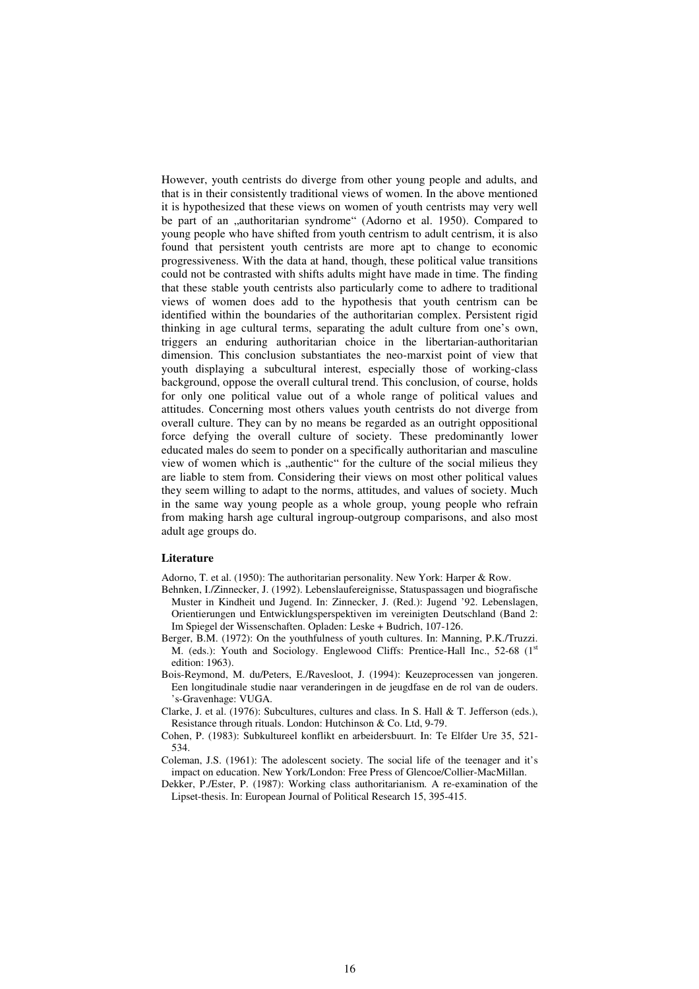However, youth centrists do diverge from other young people and adults, and that is in their consistently traditional views of women. In the above mentioned it is hypothesized that these views on women of youth centrists may very well be part of an "authoritarian syndrome" (Adorno et al. 1950). Compared to young people who have shifted from youth centrism to adult centrism, it is also found that persistent youth centrists are more apt to change to economic progressiveness. With the data at hand, though, these political value transitions could not be contrasted with shifts adults might have made in time. The finding that these stable youth centrists also particularly come to adhere to traditional views of women does add to the hypothesis that youth centrism can be identified within the boundaries of the authoritarian complex. Persistent rigid thinking in age cultural terms, separating the adult culture from one's own, triggers an enduring authoritarian choice in the libertarian-authoritarian dimension. This conclusion substantiates the neo-marxist point of view that youth displaying a subcultural interest, especially those of working-class background, oppose the overall cultural trend. This conclusion, of course, holds for only one political value out of a whole range of political values and attitudes. Concerning most others values youth centrists do not diverge from overall culture. They can by no means be regarded as an outright oppositional force defying the overall culture of society. These predominantly lower educated males do seem to ponder on a specifically authoritarian and masculine view of women which is "authentic" for the culture of the social milieus they are liable to stem from. Considering their views on most other political values they seem willing to adapt to the norms, attitudes, and values of society. Much in the same way young people as a whole group, young people who refrain from making harsh age cultural ingroup-outgroup comparisons, and also most adult age groups do.

### **Literature**

Adorno, T. et al. (1950): The authoritarian personality. New York: Harper & Row.

- Behnken, I./Zinnecker, J. (1992). Lebenslaufereignisse, Statuspassagen und biografische Muster in Kindheit und Jugend. In: Zinnecker, J. (Red.): Jugend '92. Lebenslagen, Orientierungen und Entwicklungsperspektiven im vereinigten Deutschland (Band 2: Im Spiegel der Wissenschaften. Opladen: Leske + Budrich, 107-126.
- Berger, B.M. (1972): On the youthfulness of youth cultures. In: Manning, P.K./Truzzi. M. (eds.): Youth and Sociology. Englewood Cliffs: Prentice-Hall Inc., 52-68 (1st edition: 1963).
- Bois-Reymond, M. du/Peters, E./Ravesloot, J. (1994): Keuzeprocessen van jongeren. Een longitudinale studie naar veranderingen in de jeugdfase en de rol van de ouders. 's-Gravenhage: VUGA.
- Clarke, J. et al. (1976): Subcultures, cultures and class. In S. Hall & T. Jefferson (eds.), Resistance through rituals. London: Hutchinson & Co. Ltd, 9-79.
- Cohen, P. (1983): Subkultureel konflikt en arbeidersbuurt. In: Te Elfder Ure 35, 521- 534.
- Coleman, J.S. (1961): The adolescent society. The social life of the teenager and it's impact on education. New York/London: Free Press of Glencoe/Collier-MacMillan.
- Dekker, P./Ester, P. (1987): Working class authoritarianism. A re-examination of the Lipset-thesis. In: European Journal of Political Research 15, 395-415.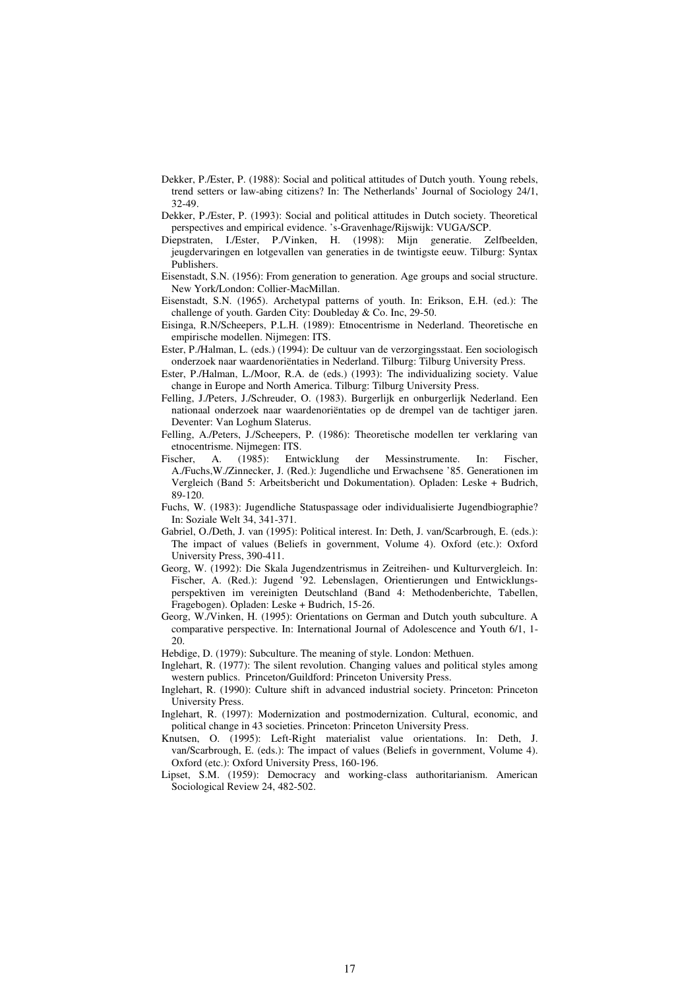- Dekker, P./Ester, P. (1988): Social and political attitudes of Dutch youth. Young rebels, trend setters or law-abing citizens? In: The Netherlands' Journal of Sociology 24/1, 32-49.
- Dekker, P./Ester, P. (1993): Social and political attitudes in Dutch society. Theoretical perspectives and empirical evidence. 's-Gravenhage/Rijswijk: VUGA/SCP.
- Diepstraten, I./Ester, P./Vinken, H. (1998): Mijn generatie. Zelfbeelden, jeugdervaringen en lotgevallen van generaties in de twintigste eeuw. Tilburg: Syntax Publishers.
- Eisenstadt, S.N. (1956): From generation to generation. Age groups and social structure. New York/London: Collier-MacMillan.
- Eisenstadt, S.N. (1965). Archetypal patterns of youth. In: Erikson, E.H. (ed.): The challenge of youth. Garden City: Doubleday & Co. Inc, 29-50.
- Eisinga, R.N/Scheepers, P.L.H. (1989): Etnocentrisme in Nederland. Theoretische en empirische modellen. Nijmegen: ITS.
- Ester, P./Halman, L. (eds.) (1994): De cultuur van de verzorgingsstaat. Een sociologisch onderzoek naar waardenoriëntaties in Nederland. Tilburg: Tilburg University Press.
- Ester, P./Halman, L./Moor, R.A. de (eds.) (1993): The individualizing society. Value change in Europe and North America. Tilburg: Tilburg University Press.
- Felling, J./Peters, J./Schreuder, O. (1983). Burgerlijk en onburgerlijk Nederland. Een nationaal onderzoek naar waardenoriëntaties op de drempel van de tachtiger jaren. Deventer: Van Loghum Slaterus.
- Felling, A./Peters, J./Scheepers, P. (1986): Theoretische modellen ter verklaring van etnocentrisme. Nijmegen: ITS.
- Fischer, A. (1985): Entwicklung der Messinstrumente. In: Fischer, A./Fuchs,W./Zinnecker, J. (Red.): Jugendliche und Erwachsene '85. Generationen im Vergleich (Band 5: Arbeitsbericht und Dokumentation). Opladen: Leske + Budrich, 89-120.
- Fuchs, W. (1983): Jugendliche Statuspassage oder individualisierte Jugendbiographie? In: Soziale Welt 34, 341-371.
- Gabriel, O./Deth, J. van (1995): Political interest. In: Deth, J. van/Scarbrough, E. (eds.): The impact of values (Beliefs in government, Volume 4). Oxford (etc.): Oxford University Press, 390-411.
- Georg, W. (1992): Die Skala Jugendzentrismus in Zeitreihen- und Kulturvergleich. In: Fischer, A. (Red.): Jugend '92. Lebenslagen, Orientierungen und Entwicklungsperspektiven im vereinigten Deutschland (Band 4: Methodenberichte, Tabellen, Fragebogen). Opladen: Leske + Budrich, 15-26.
- Georg, W./Vinken, H. (1995): Orientations on German and Dutch youth subculture. A comparative perspective. In: International Journal of Adolescence and Youth 6/1, 1- 20.
- Hebdige, D. (1979): Subculture. The meaning of style. London: Methuen.
- Inglehart, R. (1977): The silent revolution. Changing values and political styles among western publics. Princeton/Guildford: Princeton University Press.
- Inglehart, R. (1990): Culture shift in advanced industrial society. Princeton: Princeton University Press.
- Inglehart, R. (1997): Modernization and postmodernization. Cultural, economic, and political change in 43 societies. Princeton: Princeton University Press.
- Knutsen, O. (1995): Left-Right materialist value orientations. In: Deth, J. van/Scarbrough, E. (eds.): The impact of values (Beliefs in government, Volume 4). Oxford (etc.): Oxford University Press, 160-196.
- Lipset, S.M. (1959): Democracy and working-class authoritarianism. American Sociological Review 24, 482-502.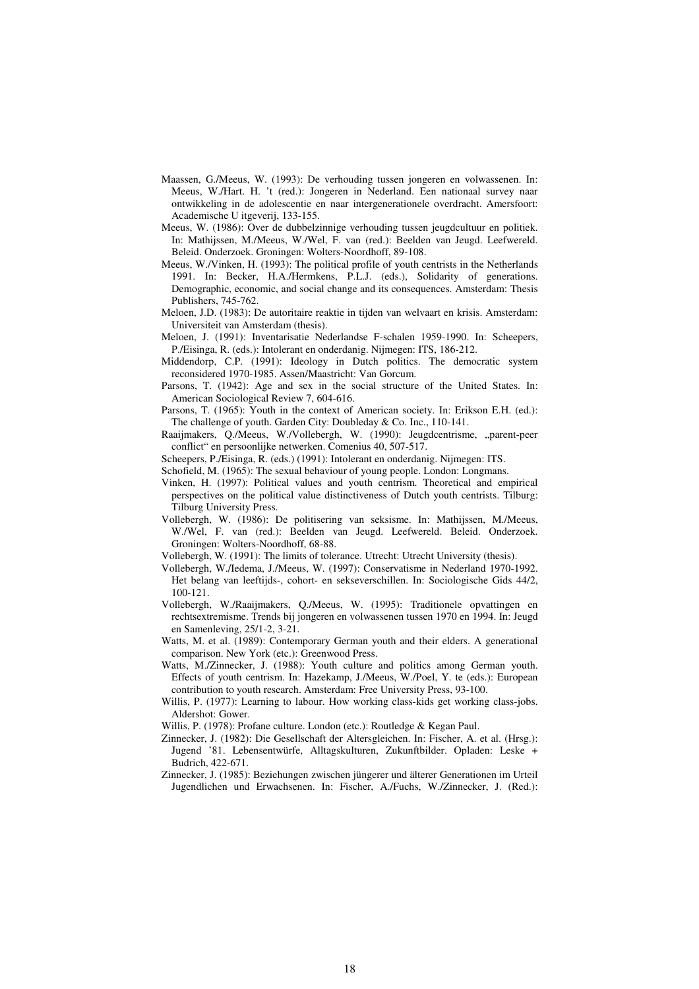- Maassen, G./Meeus, W. (1993): De verhouding tussen jongeren en volwassenen. In: Meeus, W./Hart. H. 't (red.): Jongeren in Nederland. Een nationaal survey naar ontwikkeling in de adolescentie en naar intergenerationele overdracht. Amersfoort: Academische U itgeverij, 133-155.
- Meeus, W. (1986): Over de dubbelzinnige verhouding tussen jeugdcultuur en politiek. In: Mathijssen, M./Meeus, W./Wel, F. van (red.): Beelden van Jeugd. Leefwereld. Beleid. Onderzoek. Groningen: Wolters-Noordhoff, 89-108.
- Meeus, W./Vinken, H. (1993): The political profile of youth centrists in the Netherlands 1991. In: Becker, H.A./Hermkens, P.L.J. (eds.), Solidarity of generations. Demographic, economic, and social change and its consequences. Amsterdam: Thesis Publishers, 745-762.
- Meloen, J.D. (1983): De autoritaire reaktie in tijden van welvaart en krisis. Amsterdam: Universiteit van Amsterdam (thesis).
- Meloen, J. (1991): Inventarisatie Nederlandse F-schalen 1959-1990. In: Scheepers, P./Eisinga, R. (eds.): Intolerant en onderdanig. Nijmegen: ITS, 186-212.
- Middendorp, C.P. (1991): Ideology in Dutch politics. The democratic system reconsidered 1970-1985. Assen/Maastricht: Van Gorcum.
- Parsons, T. (1942): Age and sex in the social structure of the United States. In: American Sociological Review 7, 604-616.
- Parsons, T. (1965): Youth in the context of American society. In: Erikson E.H. (ed.): The challenge of youth. Garden City: Doubleday & Co. Inc., 110-141.
- Raaijmakers, Q./Meeus, W./Vollebergh, W. (1990): Jeugdcentrisme, "parent-peer conflict" en persoonlijke netwerken. Comenius 40, 507-517.
- Scheepers, P./Eisinga, R. (eds.) (1991): Intolerant en onderdanig. Nijmegen: ITS.
- Schofield, M. (1965): The sexual behaviour of young people. London: Longmans.
- Vinken, H. (1997): Political values and youth centrism. Theoretical and empirical perspectives on the political value distinctiveness of Dutch youth centrists. Tilburg: Tilburg University Press.
- Vollebergh, W. (1986): De politisering van seksisme. In: Mathijssen, M./Meeus, W./Wel, F. van (red.): Beelden van Jeugd. Leefwereld. Beleid. Onderzoek. Groningen: Wolters-Noordhoff, 68-88.
- Vollebergh, W. (1991): The limits of tolerance. Utrecht: Utrecht University (thesis).
- Vollebergh, W./Iedema, J./Meeus, W. (1997): Conservatisme in Nederland 1970-1992. Het belang van leeftijds-, cohort- en sekseverschillen. In: Sociologische Gids 44/2, 100-121.
- Vollebergh, W./Raaijmakers, Q./Meeus, W. (1995): Traditionele opvattingen en rechtsextremisme. Trends bij jongeren en volwassenen tussen 1970 en 1994. In: Jeugd en Samenleving, 25/1-2, 3-21.
- Watts, M. et al. (1989): Contemporary German youth and their elders. A generational comparison. New York (etc.): Greenwood Press.
- Watts, M./Zinnecker, J. (1988): Youth culture and politics among German youth. Effects of youth centrism. In: Hazekamp, J./Meeus, W./Poel, Y. te (eds.): European contribution to youth research. Amsterdam: Free University Press, 93-100.
- Willis, P. (1977): Learning to labour. How working class-kids get working class-jobs. Aldershot: Gower.
- Willis, P. (1978): Profane culture. London (etc.): Routledge & Kegan Paul.
- Zinnecker, J. (1982): Die Gesellschaft der Altersgleichen. In: Fischer, A. et al. (Hrsg.): Jugend '81. Lebensentwürfe, Alltagskulturen, Zukunftbilder. Opladen: Leske + Budrich, 422-671.
- Zinnecker, J. (1985): Beziehungen zwischen jüngerer und älterer Generationen im Urteil Jugendlichen und Erwachsenen. In: Fischer, A./Fuchs, W./Zinnecker, J. (Red.):